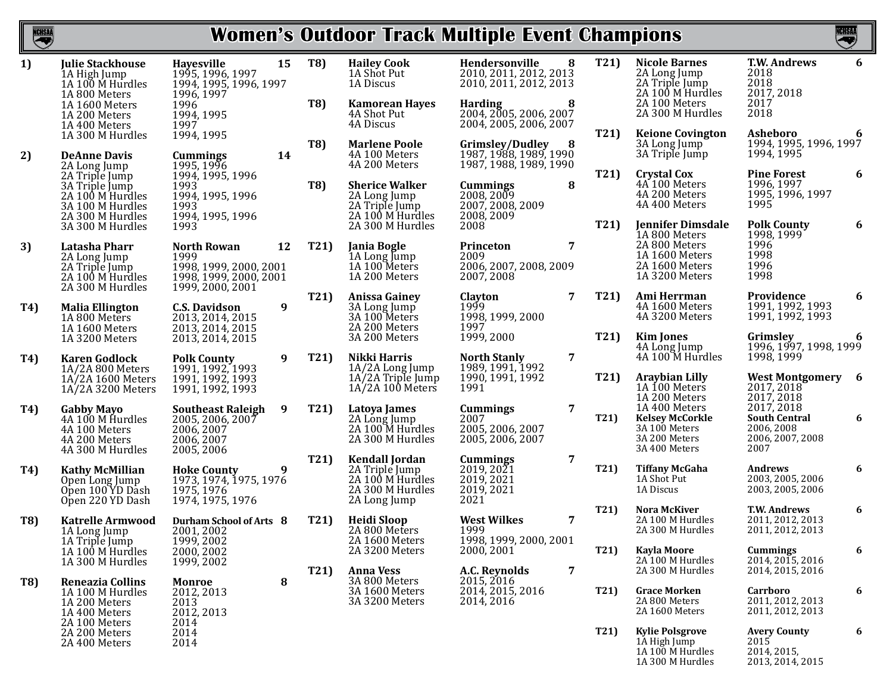## **NCHSAA**

## **Women's Outdoor Track Multiple Event Champions**

**NCHSAA** 

| 1)         | <b>Julie Stackhouse</b><br>1A High Jump<br>1A 100 M Hurdles                                  | <b>Hayesville</b><br>1995, 1996, 1997<br>1994, 1995, 1996, 1997                        | 15 | <b>T8)</b> | <b>Hailey Cook</b><br>1A Shot Put<br>1A Discus                                                  | Hendersonville<br>8<br>2010, 2011, 2012, 2013<br>2010, 2011, 2012, 2013           | T21  | <b>Nicole Barnes</b><br>2A Long Jump<br>2A Triple Jump<br>2A 100 M Hurdles                 | <b>T.W. Andrews</b><br>2018<br>2018<br>2017, 2018                            | 6                       |
|------------|----------------------------------------------------------------------------------------------|----------------------------------------------------------------------------------------|----|------------|-------------------------------------------------------------------------------------------------|-----------------------------------------------------------------------------------|------|--------------------------------------------------------------------------------------------|------------------------------------------------------------------------------|-------------------------|
|            | 1A 800 Meters<br>1A 1600 Meters<br>1A 200 Meters<br>1A 400 Meters                            | 1996, 1997<br>1996<br>1994, 1995<br>1997                                               |    | <b>T8)</b> | <b>Kamorean Hayes</b><br>4A Shot Put<br>4A Discus                                               | <b>Harding</b><br>8<br>2004, 2005, 2006, 2007<br>2004, 2005, 2006, 2007           |      | 2A 100 Meters<br>2A 300 M Hurdles                                                          | 2017<br>2018                                                                 |                         |
| 2)         | 1A 300 M Hurdles<br><b>DeAnne Davis</b><br>2A Long Jump                                      | 1994, 1995<br><b>Cummings</b><br>1995, 1996                                            | 14 | <b>T8)</b> | <b>Marlene Poole</b><br>4A 100 Meters<br>4A 200 Meters                                          | <b>Grimsley/Dudley</b><br>- 8<br>1987, 1988, 1989, 1990<br>1987, 1988, 1989, 1990 | T21) | <b>Keione Covington</b><br>3A Long Jump<br>3A Triple Jump                                  | <b>Asheboro</b><br>1994, 1995, 1996, 1997<br>1994, 1995                      | 6                       |
|            | 2A Triple Jump<br>3A Triple Jump<br>2A 100 M Hurdles<br>3A 100 M Hurdles<br>2A 300 M Hurdles | 1994, 1995, 1996<br>1993<br>1994, 1995, 1996<br>1993<br>1994, 1995, 1996               |    | <b>T8)</b> | <b>Sherice Walker</b><br>2A Long Jump<br>2A Triple Jump<br>2A 100 M Hurdles                     | 8<br><b>Cummings</b><br>2008, 2009<br>2007, 2008, 2009<br>2008, 2009              | T21) | <b>Crystal Cox</b><br>4A 100 Meters<br>4A 200 Meters<br>4A 400 Meters                      | <b>Pine Forest</b><br>1996, 1997<br>1995, 1996, 1997<br>1995                 | 6                       |
| 3)         | 3A 300 M Hurdles<br>Latasha Pharr                                                            | 1993<br><b>North Rowan</b>                                                             | 12 | T21)       | 2A 300 M Hurdles<br><b>Jania Bogle</b>                                                          | 2008<br>7<br>Princeton                                                            | T21) | Jennifer Dimsdale<br>1A 800 Meters<br>2A 800 Meters                                        | <b>Polk County</b><br>1998, 1999<br>1996                                     | 6                       |
|            | 2A Long Jump<br>2A Triple Jump<br>2A 100 M Hurdles<br>2A 300 M Hurdles                       | 1999<br>1998, 1999, 2000, 2001<br>1998, 1999, 2000, 2001<br>1999, 2000, 2001           |    |            | 1A Long Jump<br>1A 100 Meters<br>1A 200 Meters                                                  | 2009<br>2006, 2007, 2008, 2009<br>2007, 2008                                      |      | 1A 1600 Meters<br>2A 1600 Meters<br>1A 3200 Meters                                         | 1998<br>1996<br>1998                                                         |                         |
| T4)        | <b>Malia Ellington</b><br>1A 800 Meters                                                      | <b>C.S. Davidson</b><br>2013, 2014, 2015                                               | 9  | T21)       | <b>Anissa Gainey</b><br>3A Long Jump<br>3A 100 Meters                                           | 7<br>Clayton<br>1999<br>1998, 1999, 2000                                          | T21) | Ami Herrman<br>4A 1600 Meters<br>4A 3200 Meters                                            | Providence<br>1991, 1992, 1993<br>1991, 1992, 1993                           | 6                       |
|            | 1A 1600 Meters<br>1A 3200 Meters                                                             | 2013, 2014, 2015<br>2013, 2014, 2015                                                   |    |            | 2A 200 Meters<br>3A 200 Meters                                                                  | 1997<br>1999, 2000                                                                | T21  | <b>Kim Jones</b><br>4A Long Jump                                                           | Grimsley<br>1996, 1997, 1998, 1999                                           | 6                       |
| T4)        | <b>Karen Godlock</b><br>1A/2A 800 Meters<br>$1A/2A$ 1600 Meters                              | <b>Polk County</b><br>1991, 1992, 1993<br>1991, 1992, 1993                             | 9  | T21)       | Nikki Harris<br>1A/2A Long Jump<br>$1A/2A$ Triple Jump                                          | $\overline{7}$<br><b>North Stanly</b><br>1989, 1991, 1992<br>1990, 1991, 1992     | T21) | 4A 100 M Hurdles<br><b>Araybian Lilly</b>                                                  | 1998, 1999<br><b>West Montgomery</b>                                         | $\overline{\mathbf{6}}$ |
|            | 1A/2A 3200 Meters                                                                            | 1991, 1992, 1993                                                                       |    |            | $1A/2A$ 100 Meters                                                                              | 1991                                                                              |      | 1A 100 Meters<br>1A 200 Meters                                                             | 2017, 2018<br>2017, 2018                                                     |                         |
| T4)        | <b>Gabby Mayo</b><br>4A 100 M Hurdles<br>4A 100 Meters<br>4A 200 Meters<br>4A 300 M Hurdles  | <b>Southeast Raleigh</b><br>2005, 2006, 2007<br>2006, 2007<br>2006, 2007<br>2005, 2006 | 9  | T21        | Latoya James<br>2A Long Jump<br>2A 100 M Hurdles<br>2A 300 M Hurdles                            | 7<br><b>Cummings</b><br>2007<br>2005, 2006, 2007<br>2005, 2006, 2007              | T21) | 1A 400 Meters<br><b>Kelsey McCorkle</b><br>3A 100 Meters<br>3A 200 Meters<br>3A 400 Meters | 2017, 2018<br><b>South Central</b><br>2006, 2008<br>2006, 2007, 2008<br>2007 | 6                       |
| T4)        | <b>Kathy McMillian</b><br>Open Long Jump<br>Open 100 YD Dash<br>Open 220 YD Dash             | <b>Hoke County</b><br>1973, 1974, 1975, 1976<br>1975, 1976<br>1974, 1975, 1976         | 9  | T21)       | <b>Kendall Jordan</b><br>2A Triple Jump<br>2A 100 M Hurdles<br>2A 300 M Hurdles<br>2A Long Jump | 7<br><b>Cummings</b><br>2019, 2021<br>2019, 2021<br>2019, 2021<br>2021            | T21) | <b>Tiffany McGaha</b><br>1A Shot Put<br>1A Discus                                          | <b>Andrews</b><br>2003, 2005, 2006<br>2003, 2005, 2006                       | 6                       |
| <b>T8)</b> | <b>Katrelle Armwood</b>                                                                      | Durham School of Arts 8                                                                |    | T21)       | <b>Heidi Sloop</b>                                                                              | 7<br><b>West Wilkes</b>                                                           | T21) | Nora McKiver<br>2A 100 M Hurdles                                                           | <b>T.W. Andrews</b><br>2011, 2012, 2013                                      | 6                       |
|            | 1A Long Jump<br>1A Triple Jump<br>1A 100 M Hurdles                                           | 2001, 2002<br>1999, 2002<br>2000, 2002                                                 |    |            | 2A 800 Meters<br>2A 1600 Meters<br>2A 3200 Meters                                               | 1999<br>1998, 1999, 2000, 2001<br>2000, 2001                                      | T21) | 2A 300 M Hurdles<br><b>Kayla Moore</b>                                                     | 2011, 2012, 2013<br>Cummings                                                 | 6                       |
|            | 1A 300 M Hurdles                                                                             | 1999, 2002                                                                             |    | T21)       | <b>Anna Vess</b>                                                                                | 7<br>A.C. Reynolds                                                                |      | 2A 100 M Hurdles<br>2A 300 M Hurdles                                                       | 2014, 2015, 2016<br>2014, 2015, 2016                                         |                         |
| <b>T8)</b> | <b>Reneazia Collins</b><br>1A 100 M Hurdles<br>1A 200 Meters<br>1A 400 Meters                | Monroe<br>2012, 2013<br>2013<br>2012, 2013                                             | 8  |            | 3A 800 Meters<br>3A 1600 Meters<br>3A 3200 Meters                                               | 2015, 2016<br>2014, 2015, 2016<br>2014, 2016                                      | T21) | <b>Grace Morken</b><br>2A 800 Meters<br>2A 1600 Meters                                     | Carrboro<br>2011, 2012, 2013<br>2011, 2012, 2013                             | 6                       |
|            | 2A 100 Meters<br>2A 200 Meters<br>2A 400 Meters                                              | 2014<br>2014<br>2014                                                                   |    |            |                                                                                                 |                                                                                   | T21) | <b>Kylie Polsgrove</b><br>1A High Jump<br>1A 100 M Hurdles<br>1A 300 M Hurdles             | <b>Avery County</b><br>2015<br>2014, 2015,<br>2013, 2014, 2015               | 6                       |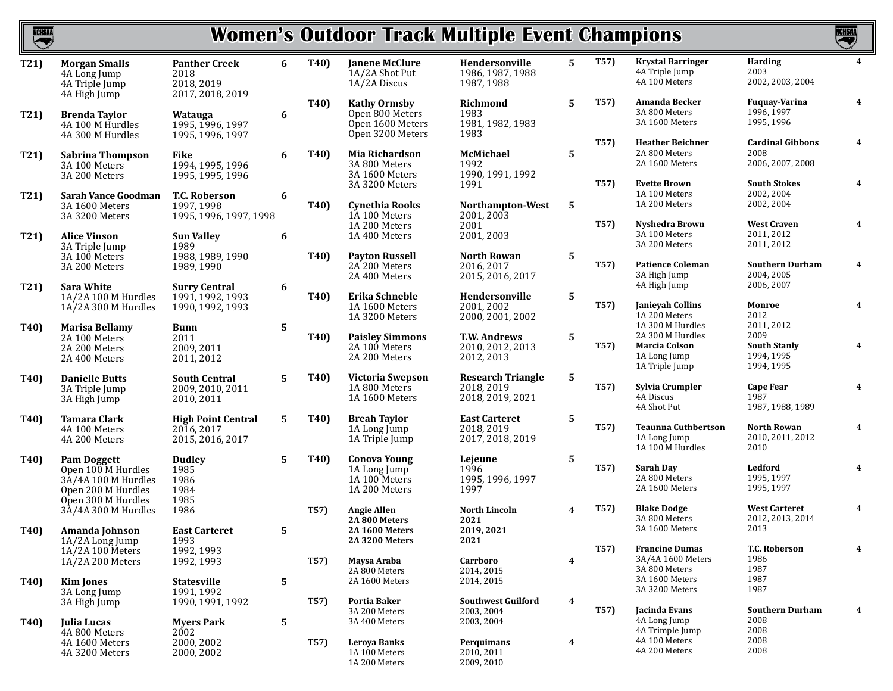| <b>NCHSAI</b>     |                                                                                                             |                                                                     |              |                   |                                                                                | <b>Women's Outdoor Track Multiple Event Champions</b>      |                  |             |                                                                            |                                                         | <b>NCHSAA</b>           |
|-------------------|-------------------------------------------------------------------------------------------------------------|---------------------------------------------------------------------|--------------|-------------------|--------------------------------------------------------------------------------|------------------------------------------------------------|------------------|-------------|----------------------------------------------------------------------------|---------------------------------------------------------|-------------------------|
| T21)              | <b>Morgan Smalls</b><br>4A Long Jump<br>4A Triple Jump                                                      | <b>Panther Creek</b><br>2018<br>2018, 2019                          | 6            | T <sub>40</sub> ) | <b>Janene McClure</b><br>1A/2A Shot Put<br>1A/2A Discus                        | Hendersonville<br>1986, 1987, 1988<br>1987, 1988           | 5                | T57)        | <b>Krystal Barringer</b><br>4A Triple Jump<br>4A 100 Meters                | <b>Harding</b><br>2003<br>2002, 2003, 2004              | $\overline{\mathbf{4}}$ |
| T21)              | 4A High Jump<br><b>Brenda Taylor</b><br>4A 100 M Hurdles<br>4A 300 M Hurdles                                | 2017, 2018, 2019<br>Watauga<br>1995, 1996, 1997<br>1995, 1996, 1997 | 6            | T40)              | <b>Kathy Ormsby</b><br>Open 800 Meters<br>Open 1600 Meters<br>Open 3200 Meters | Richmond<br>1983<br>1981, 1982, 1983<br>1983               | 5                | T57)        | Amanda Becker<br>3A 800 Meters<br>3A 1600 Meters                           | <b>Fuguay-Varina</b><br>1996, 1997<br>1995, 1996        | $\boldsymbol{4}$        |
| T21)              | Sabrina Thompson<br>3A 100 Meters<br>3A 200 Meters                                                          | Fike<br>1994, 1995, 1996<br>1995, 1995, 1996                        | 6            | <b>T40)</b>       | <b>Mia Richardson</b><br>3A 800 Meters<br>3A 1600 Meters                       | McMichael<br>1992<br>1990, 1991, 1992                      | 5                | T57)        | <b>Heather Beichner</b><br>2A 800 Meters<br>2A 1600 Meters                 | <b>Cardinal Gibbons</b><br>2008<br>2006, 2007, 2008     | 4                       |
| T21)              | <b>Sarah Vance Goodman</b><br>3A 1600 Meters                                                                | <b>T.C. Roberson</b><br>1997, 1998                                  | 6            | T <sub>40</sub> ) | 3A 3200 Meters<br><b>Cynethia Rooks</b><br>1A 100 Meters                       | 1991<br>Northampton-West<br>2001, 2003                     | 5                | <b>T57)</b> | <b>Evette Brown</b><br>1A 100 Meters<br>1A 200 Meters                      | <b>South Stokes</b><br>2002, 2004<br>2002, 2004         | $\boldsymbol{4}$        |
| T21)              | 3A 3200 Meters<br><b>Alice Vinson</b><br>3A Triple Jump                                                     | 1995, 1996, 1997, 1998<br><b>Sun Valley</b><br>1989                 | 6            |                   | 1A 200 Meters<br>1A 400 Meters                                                 | 2001<br>2001, 2003                                         |                  | T57)        | <b>Nyshedra Brown</b><br>3A 100 Meters<br>3A 200 Meters                    | <b>West Craven</b><br>2011, 2012<br>2011, 2012          | $\boldsymbol{4}$        |
| T21)              | 3A 100 Meters<br>3A 200 Meters<br><b>Sara White</b>                                                         | 1988, 1989, 1990<br>1989, 1990<br><b>Surry Central</b>              | 6            | T <sub>40</sub> ) | <b>Payton Russell</b><br>2A 200 Meters<br>2A 400 Meters                        | <b>North Rowan</b><br>2016, 2017<br>2015, 2016, 2017       | 5                | T57)        | <b>Patience Coleman</b><br>3A High Jump<br>4A High Jump                    | <b>Southern Durham</b><br>2004, 2005<br>2006, 2007      | $\boldsymbol{4}$        |
|                   | 1A/2A 100 M Hurdles<br>1A/2A 300 M Hurdles                                                                  | 1991, 1992, 1993<br>1990, 1992, 1993                                |              | T40)              | Erika Schneble<br>1A 1600 Meters<br>1A 3200 Meters                             | Hendersonville<br>2001, 2002<br>2000.2001.2002             | 5                | T57)        | <b>Janieyah Collins</b><br>1A 200 Meters<br>1A 300 M Hurdles               | Monroe<br>2012<br>2011, 2012                            | $\boldsymbol{4}$        |
| T <sub>40</sub> ) | <b>Marisa Bellamy</b><br>2A 100 Meters<br>2A 200 Meters<br>2A 400 Meters                                    | <b>Bunn</b><br>2011<br>2009, 2011<br>2011, 2012                     | 5            | T40)              | <b>Paisley Simmons</b><br>2A 100 Meters<br>2A 200 Meters                       | <b>T.W. Andrews</b><br>2010, 2012, 2013<br>2012, 2013      | $5\phantom{.0}$  | T57)        | 2A 300 M Hurdles<br><b>Marcia Colson</b><br>1A Long Jump<br>1A Triple Jump | 2009<br><b>South Stanly</b><br>1994, 1995<br>1994, 1995 | $\boldsymbol{4}$        |
| T40)              | <b>Danielle Butts</b><br>3A Triple Jump<br>3A High Jump                                                     | <b>South Central</b><br>2009, 2010, 2011<br>2010, 2011              | 5            | T40)              | Victoria Swepson<br>1A 800 Meters<br>1A 1600 Meters                            | <b>Research Triangle</b><br>2018, 2019<br>2018, 2019, 2021 | 5                | T57)        | Sylvia Crumpler<br>4A Discus<br>4A Shot Put                                | <b>Cape Fear</b><br>1987<br>1987, 1988, 1989            | 4                       |
| T40)              | <b>Tamara Clark</b><br>4A 100 Meters<br>4A 200 Meters                                                       | <b>High Point Central</b><br>2016, 2017<br>2015, 2016, 2017         | 5            | <b>T40)</b>       | <b>Breah Taylor</b><br>1A Long Jump<br>1A Triple Jump                          | <b>East Carteret</b><br>2018, 2019<br>2017, 2018, 2019     | 5                | T57)        | <b>Teaunna Cuthbertson</b><br>1A Long Jump<br>1A 100 M Hurdles             | <b>North Rowan</b><br>2010, 2011, 2012<br>2010          | $\overline{\mathbf{4}}$ |
| T40)              | <b>Pam Doggett</b><br>Open 100 M Hurdles<br>3A/4A 100 M Hurdles<br>Open 200 M Hurdles<br>Open 300 M Hurdles | <b>Dudley</b><br>1985<br>1986<br>1984<br>1985                       | 5            | T <sub>40</sub> ) | Conova Young<br>1A Long Jump<br>1A 100 Meters<br>1A 200 Meters                 | Leieune<br>1996<br>1995, 1996, 1997<br>1997                | 5                | <b>T57)</b> | <b>Sarah Day</b><br>2A 800 Meters<br>2A 1600 Meters                        | Ledford<br>1995, 1997<br>1995, 1997                     | $\boldsymbol{4}$        |
| T <sub>40</sub> ) | 3A/4A 300 M Hurdles<br>Amanda Johnson                                                                       | 1986<br><b>East Carteret</b>                                        | 5            | T57)              | <b>Angie Allen</b><br>2A 800 Meters<br>2A 1600 Meters                          | <b>North Lincoln</b><br>2021<br>2019, 2021                 | 4                | T57)        | <b>Blake Dodge</b><br>3A 800 Meters<br>3A 1600 Meters                      | <b>West Carteret</b><br>2012, 2013, 2014<br>2013        | $\boldsymbol{4}$        |
|                   | 1A/2A Long Jump<br>1A/2A 100 Meters<br>1A/2A 200 Meters                                                     | 1993<br>1992, 1993<br>1992, 1993                                    |              | T57)              | 2A 3200 Meters<br>Maysa Araba<br>2A 800 Meters                                 | 2021<br>Carrboro<br>2014, 2015                             | 4                | T57)        | <b>Francine Dumas</b><br>3A/4A 1600 Meters<br>3A 800 Meters                | <b>T.C. Roberson</b><br>1986<br>1987                    | $\overline{\mathbf{4}}$ |
| T40)              | <b>Kim Jones</b><br>3A Long Jump<br>3A High Jump                                                            | <b>Statesville</b><br>1991, 1992<br>1990, 1991, 1992                | $\mathbf{5}$ | T57)              | 2A 1600 Meters<br><b>Portia Baker</b>                                          | 2014, 2015<br><b>Southwest Guilford</b>                    | $\boldsymbol{4}$ |             | 3A 1600 Meters<br>3A 3200 Meters                                           | 1987<br>1987                                            |                         |
| T40)              | Julia Lucas<br>4A 800 Meters                                                                                | <b>Myers Park</b><br>2002                                           | $\mathbf{5}$ |                   | 3A 200 Meters<br>3A 400 Meters                                                 | 2003, 2004<br>2003, 2004                                   |                  | T57)        | Jacinda Evans<br>4A Long Jump<br>4A Trimple Jump                           | <b>Southern Durham</b><br>2008<br>2008                  | 4                       |
|                   | 4A 1600 Meters<br>4A 3200 Meters                                                                            | 2000, 2002<br>2000, 2002                                            |              | T57)              | <b>Leroya Banks</b><br>1A 100 Meters<br>1A 200 Meters                          | Perquimans<br>2010, 2011<br>2009, 2010                     | 4                |             | 4A 100 Meters<br>4A 200 Meters                                             | 2008<br>2008                                            |                         |